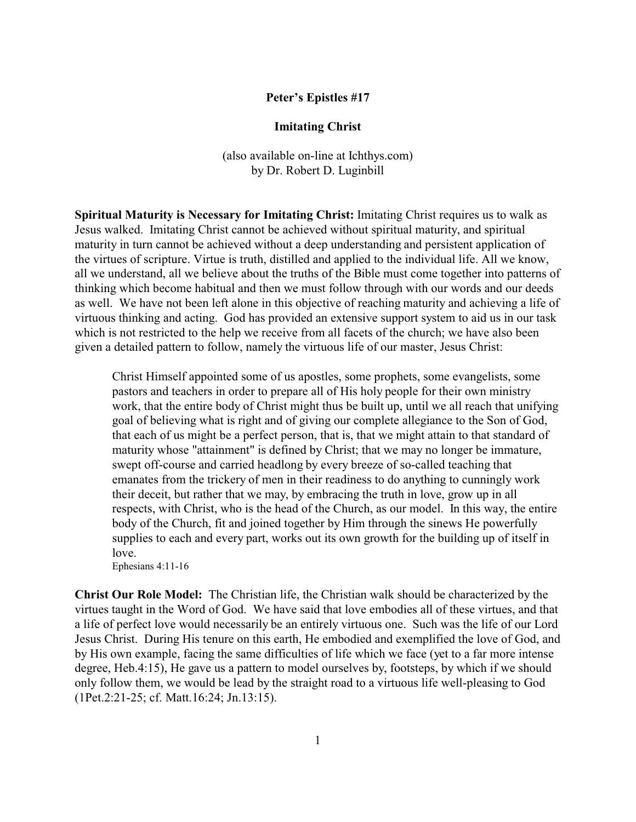## **Peter's Epistles #17**

## **Imitating Christ**

(also available on-line at Ichthys.com) by Dr. Robert D. Luginbill

**Spiritual Maturity is Necessary for Imitating Christ:** Imitating Christ requires us to walk as Jesus walked. Imitating Christ cannot be achieved without spiritual maturity, and spiritual maturity in turn cannot be achieved without a deep understanding and persistent application of the virtues of scripture. Virtue is truth, distilled and applied to the individual life. All we know, all we understand, all we believe about the truths of the Bible must come together into patterns of thinking which become habitual and then we must follow through with our words and our deeds as well. We have not been left alone in this objective of reaching maturity and achieving a life of virtuous thinking and acting. God has provided an extensive support system to aid us in our task which is not restricted to the help we receive from all facets of the church; we have also been given a detailed pattern to follow, namely the virtuous life of our master, Jesus Christ:

Christ Himself appointed some of us apostles, some prophets, some evangelists, some pastors and teachers in order to prepare all of His holy people for their own ministry work, that the entire body of Christ might thus be built up, until we all reach that unifying goal of believing what is right and of giving our complete allegiance to the Son of God, that each of us might be a perfect person, that is, that we might attain to that standard of maturity whose "attainment" is defined by Christ; that we may no longer be immature, swept off-course and carried headlong by every breeze of so-called teaching that emanates from the trickery of men in their readiness to do anything to cunningly work their deceit, but rather that we may, by embracing the truth in love, grow up in all respects, with Christ, who is the head of the Church, as our model. In this way, the entire body of the Church, fit and joined together by Him through the sinews He powerfully supplies to each and every part, works out its own growth for the building up of itself in love.

Ephesians 4:11-16

**Christ Our Role Model:** The Christian life, the Christian walk should be characterized by the virtues taught in the Word of God. We have said that love embodies all of these virtues, and that a life of perfect love would necessarily be an entirely virtuous one. Such was the life of our Lord Jesus Christ. During His tenure on this earth, He embodied and exemplified the love of God, and by His own example, facing the same difficulties of life which we face (yet to a far more intense degree, Heb.4:15), He gave us a pattern to model ourselves by, footsteps, by which if we should only follow them, we would be lead by the straight road to a virtuous life well-pleasing to God (1Pet.2:21-25; cf. Matt.16:24; Jn.13:15).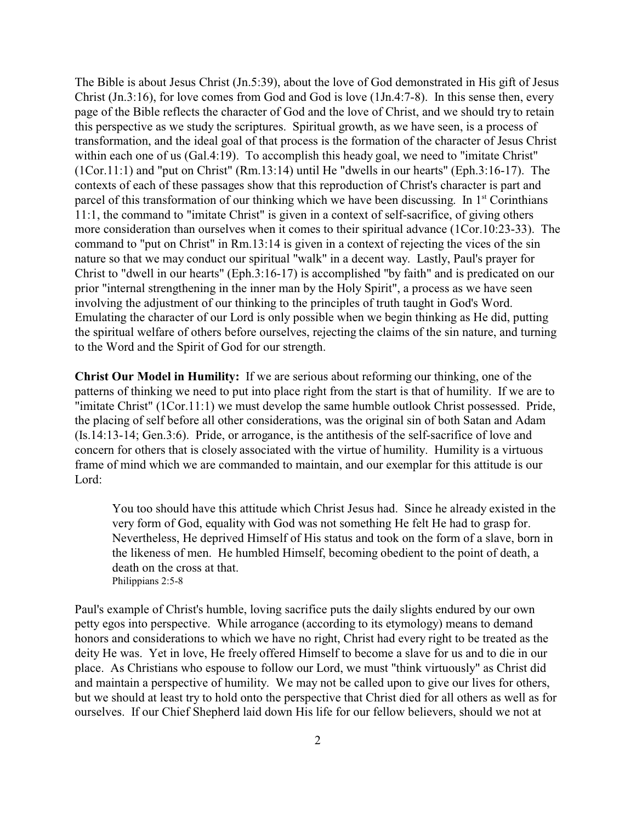The Bible is about Jesus Christ (Jn.5:39), about the love of God demonstrated in His gift of Jesus Christ (Jn.3:16), for love comes from God and God is love (1Jn.4:7-8). In this sense then, every page of the Bible reflects the character of God and the love of Christ, and we should try to retain this perspective as we study the scriptures. Spiritual growth, as we have seen, is a process of transformation, and the ideal goal of that process is the formation of the character of Jesus Christ within each one of us (Gal.4:19). To accomplish this heady goal, we need to "imitate Christ" (1Cor.11:1) and "put on Christ" (Rm.13:14) until He "dwells in our hearts" (Eph.3:16-17). The contexts of each of these passages show that this reproduction of Christ's character is part and parcel of this transformation of our thinking which we have been discussing. In  $1<sup>st</sup>$  Corinthians 11:1, the command to "imitate Christ" is given in a context of self-sacrifice, of giving others more consideration than ourselves when it comes to their spiritual advance (1Cor.10:23-33). The command to "put on Christ" in Rm.13:14 is given in a context of rejecting the vices of the sin nature so that we may conduct our spiritual "walk" in a decent way. Lastly, Paul's prayer for Christ to "dwell in our hearts" (Eph.3:16-17) is accomplished "by faith" and is predicated on our prior "internal strengthening in the inner man by the Holy Spirit", a process as we have seen involving the adjustment of our thinking to the principles of truth taught in God's Word. Emulating the character of our Lord is only possible when we begin thinking as He did, putting the spiritual welfare of others before ourselves, rejecting the claims of the sin nature, and turning to the Word and the Spirit of God for our strength.

**Christ Our Model in Humility:** If we are serious about reforming our thinking, one of the patterns of thinking we need to put into place right from the start is that of humility. If we are to "imitate Christ" (1Cor.11:1) we must develop the same humble outlook Christ possessed. Pride, the placing of self before all other considerations, was the original sin of both Satan and Adam (Is.14:13-14; Gen.3:6). Pride, or arrogance, is the antithesis of the self-sacrifice of love and concern for others that is closely associated with the virtue of humility. Humility is a virtuous frame of mind which we are commanded to maintain, and our exemplar for this attitude is our Lord:

You too should have this attitude which Christ Jesus had. Since he already existed in the very form of God, equality with God was not something He felt He had to grasp for. Nevertheless, He deprived Himself of His status and took on the form of a slave, born in the likeness of men. He humbled Himself, becoming obedient to the point of death, a death on the cross at that. Philippians 2:5-8

Paul's example of Christ's humble, loving sacrifice puts the daily slights endured by our own petty egos into perspective. While arrogance (according to its etymology) means to demand honors and considerations to which we have no right, Christ had every right to be treated as the deity He was. Yet in love, He freely offered Himself to become a slave for us and to die in our place. As Christians who espouse to follow our Lord, we must "think virtuously" as Christ did and maintain a perspective of humility. We may not be called upon to give our lives for others, but we should at least try to hold onto the perspective that Christ died for all others as well as for ourselves. If our Chief Shepherd laid down His life for our fellow believers, should we not at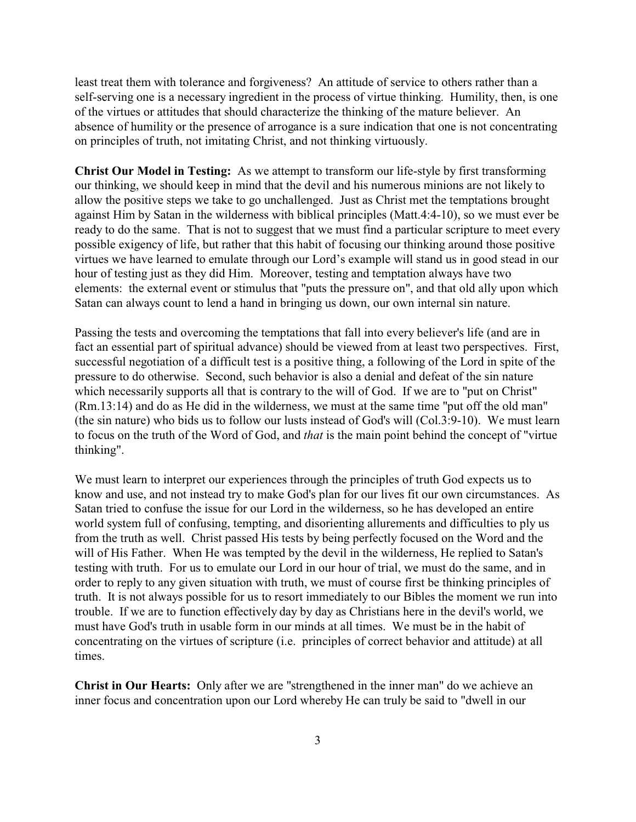least treat them with tolerance and forgiveness? An attitude of service to others rather than a self-serving one is a necessary ingredient in the process of virtue thinking. Humility, then, is one of the virtues or attitudes that should characterize the thinking of the mature believer. An absence of humility or the presence of arrogance is a sure indication that one is not concentrating on principles of truth, not imitating Christ, and not thinking virtuously.

**Christ Our Model in Testing:** As we attempt to transform our life-style by first transforming our thinking, we should keep in mind that the devil and his numerous minions are not likely to allow the positive steps we take to go unchallenged. Just as Christ met the temptations brought against Him by Satan in the wilderness with biblical principles (Matt.4:4-10), so we must ever be ready to do the same. That is not to suggest that we must find a particular scripture to meet every possible exigency of life, but rather that this habit of focusing our thinking around those positive virtues we have learned to emulate through our Lord's example will stand us in good stead in our hour of testing just as they did Him. Moreover, testing and temptation always have two elements: the external event or stimulus that "puts the pressure on", and that old ally upon which Satan can always count to lend a hand in bringing us down, our own internal sin nature.

Passing the tests and overcoming the temptations that fall into every believer's life (and are in fact an essential part of spiritual advance) should be viewed from at least two perspectives. First, successful negotiation of a difficult test is a positive thing, a following of the Lord in spite of the pressure to do otherwise. Second, such behavior is also a denial and defeat of the sin nature which necessarily supports all that is contrary to the will of God. If we are to "put on Christ" (Rm.13:14) and do as He did in the wilderness, we must at the same time "put off the old man" (the sin nature) who bids us to follow our lusts instead of God's will (Col.3:9-10). We must learn to focus on the truth of the Word of God, and *that* is the main point behind the concept of "virtue thinking".

We must learn to interpret our experiences through the principles of truth God expects us to know and use, and not instead try to make God's plan for our lives fit our own circumstances. As Satan tried to confuse the issue for our Lord in the wilderness, so he has developed an entire world system full of confusing, tempting, and disorienting allurements and difficulties to ply us from the truth as well. Christ passed His tests by being perfectly focused on the Word and the will of His Father. When He was tempted by the devil in the wilderness, He replied to Satan's testing with truth. For us to emulate our Lord in our hour of trial, we must do the same, and in order to reply to any given situation with truth, we must of course first be thinking principles of truth. It is not always possible for us to resort immediately to our Bibles the moment we run into trouble. If we are to function effectively day by day as Christians here in the devil's world, we must have God's truth in usable form in our minds at all times. We must be in the habit of concentrating on the virtues of scripture (i.e. principles of correct behavior and attitude) at all times.

**Christ in Our Hearts:** Only after we are "strengthened in the inner man" do we achieve an inner focus and concentration upon our Lord whereby He can truly be said to "dwell in our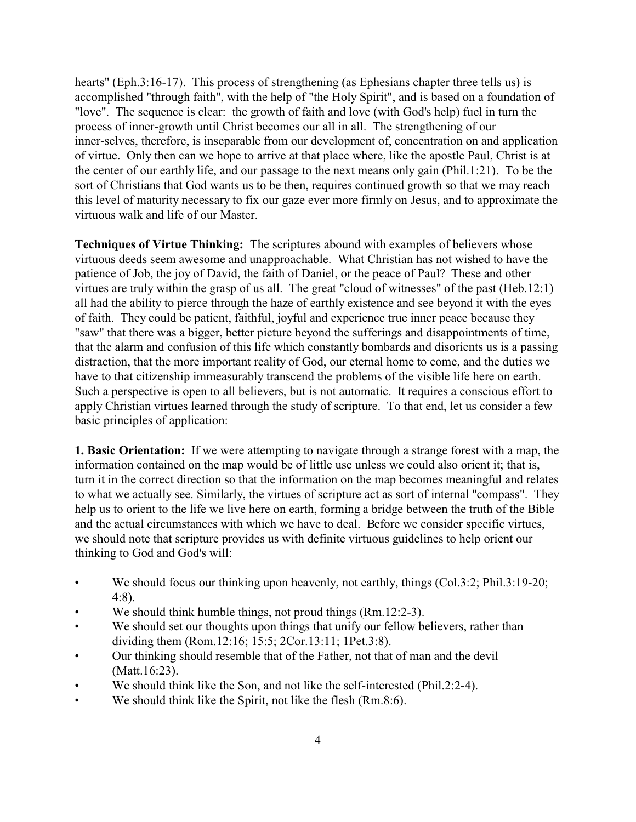hearts" (Eph.3:16-17). This process of strengthening (as Ephesians chapter three tells us) is accomplished "through faith", with the help of "the Holy Spirit", and is based on a foundation of "love". The sequence is clear: the growth of faith and love (with God's help) fuel in turn the process of inner-growth until Christ becomes our all in all. The strengthening of our inner-selves, therefore, is inseparable from our development of, concentration on and application of virtue. Only then can we hope to arrive at that place where, like the apostle Paul, Christ is at the center of our earthly life, and our passage to the next means only gain (Phil.1:21). To be the sort of Christians that God wants us to be then, requires continued growth so that we may reach this level of maturity necessary to fix our gaze ever more firmly on Jesus, and to approximate the virtuous walk and life of our Master.

**Techniques of Virtue Thinking:** The scriptures abound with examples of believers whose virtuous deeds seem awesome and unapproachable. What Christian has not wished to have the patience of Job, the joy of David, the faith of Daniel, or the peace of Paul? These and other virtues are truly within the grasp of us all. The great "cloud of witnesses" of the past (Heb.12:1) all had the ability to pierce through the haze of earthly existence and see beyond it with the eyes of faith. They could be patient, faithful, joyful and experience true inner peace because they "saw" that there was a bigger, better picture beyond the sufferings and disappointments of time, that the alarm and confusion of this life which constantly bombards and disorients us is a passing distraction, that the more important reality of God, our eternal home to come, and the duties we have to that citizenship immeasurably transcend the problems of the visible life here on earth. Such a perspective is open to all believers, but is not automatic. It requires a conscious effort to apply Christian virtues learned through the study of scripture. To that end, let us consider a few basic principles of application:

**1. Basic Orientation:** If we were attempting to navigate through a strange forest with a map, the information contained on the map would be of little use unless we could also orient it; that is, turn it in the correct direction so that the information on the map becomes meaningful and relates to what we actually see. Similarly, the virtues of scripture act as sort of internal "compass". They help us to orient to the life we live here on earth, forming a bridge between the truth of the Bible and the actual circumstances with which we have to deal. Before we consider specific virtues, we should note that scripture provides us with definite virtuous guidelines to help orient our thinking to God and God's will:

- We should focus our thinking upon heavenly, not earthly, things (Col.3:2; Phil.3:19-20; 4:8).
- We should think humble things, not proud things (Rm.12:2-3).
- We should set our thoughts upon things that unify our fellow believers, rather than dividing them (Rom.12:16; 15:5; 2Cor.13:11; 1Pet.3:8).
- Our thinking should resemble that of the Father, not that of man and the devil (Matt.16:23).
- We should think like the Son, and not like the self-interested (Phil.2:2-4).
- We should think like the Spirit, not like the flesh (Rm.8:6).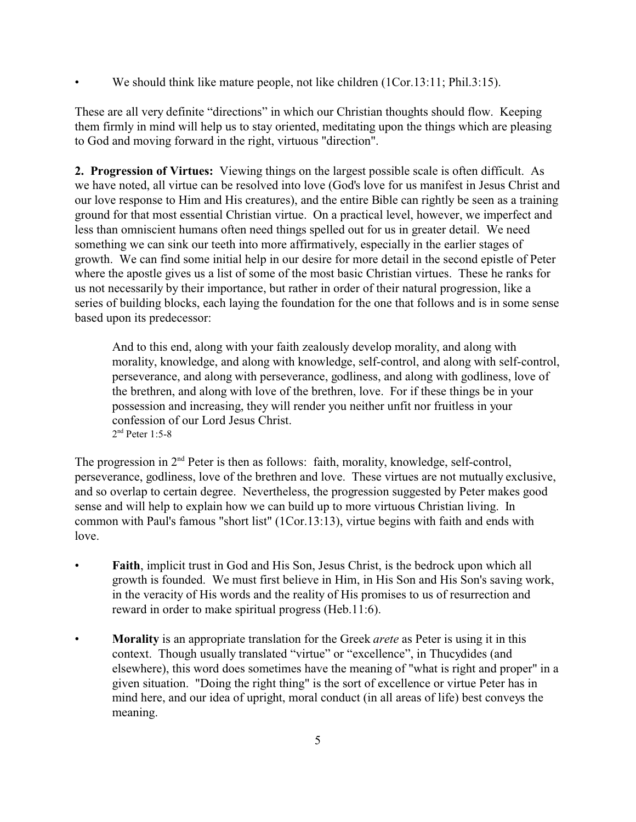We should think like mature people, not like children (1Cor.13:11; Phil.3:15).

These are all very definite "directions" in which our Christian thoughts should flow. Keeping them firmly in mind will help us to stay oriented, meditating upon the things which are pleasing to God and moving forward in the right, virtuous "direction".

**2. Progression of Virtues:** Viewing things on the largest possible scale is often difficult. As we have noted, all virtue can be resolved into love (God's love for us manifest in Jesus Christ and our love response to Him and His creatures), and the entire Bible can rightly be seen as a training ground for that most essential Christian virtue. On a practical level, however, we imperfect and less than omniscient humans often need things spelled out for us in greater detail. We need something we can sink our teeth into more affirmatively, especially in the earlier stages of growth. We can find some initial help in our desire for more detail in the second epistle of Peter where the apostle gives us a list of some of the most basic Christian virtues. These he ranks for us not necessarily by their importance, but rather in order of their natural progression, like a series of building blocks, each laying the foundation for the one that follows and is in some sense based upon its predecessor:

And to this end, along with your faith zealously develop morality, and along with morality, knowledge, and along with knowledge, self-control, and along with self-control, perseverance, and along with perseverance, godliness, and along with godliness, love of the brethren, and along with love of the brethren, love. For if these things be in your possession and increasing, they will render you neither unfit nor fruitless in your confession of our Lord Jesus Christ. 2 nd Peter 1:5-8

The progression in  $2<sup>nd</sup>$  Peter is then as follows: faith, morality, knowledge, self-control, perseverance, godliness, love of the brethren and love. These virtues are not mutually exclusive, and so overlap to certain degree. Nevertheless, the progression suggested by Peter makes good sense and will help to explain how we can build up to more virtuous Christian living. In common with Paul's famous "short list" (1Cor.13:13), virtue begins with faith and ends with love.

- **Faith**, implicit trust in God and His Son, Jesus Christ, is the bedrock upon which all growth is founded. We must first believe in Him, in His Son and His Son's saving work, in the veracity of His words and the reality of His promises to us of resurrection and reward in order to make spiritual progress (Heb.11:6).
- **Morality** is an appropriate translation for the Greek *arete* as Peter is using it in this context. Though usually translated "virtue" or "excellence", in Thucydides (and elsewhere), this word does sometimes have the meaning of "what is right and proper" in a given situation. "Doing the right thing" is the sort of excellence or virtue Peter has in mind here, and our idea of upright, moral conduct (in all areas of life) best conveys the meaning.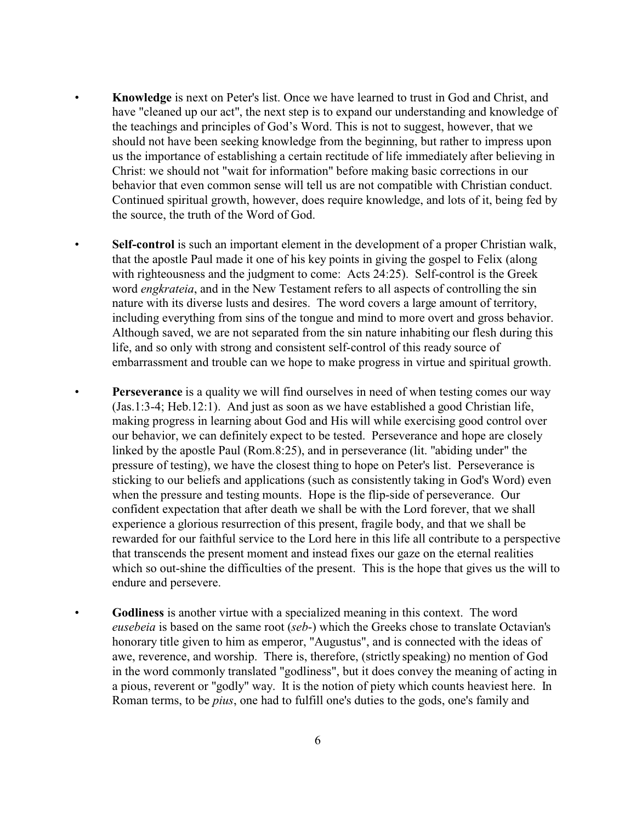- **Knowledge** is next on Peter's list. Once we have learned to trust in God and Christ, and have "cleaned up our act", the next step is to expand our understanding and knowledge of the teachings and principles of God's Word. This is not to suggest, however, that we should not have been seeking knowledge from the beginning, but rather to impress upon us the importance of establishing a certain rectitude of life immediately after believing in Christ: we should not "wait for information" before making basic corrections in our behavior that even common sense will tell us are not compatible with Christian conduct. Continued spiritual growth, however, does require knowledge, and lots of it, being fed by the source, the truth of the Word of God.
- **Self-control** is such an important element in the development of a proper Christian walk, that the apostle Paul made it one of his key points in giving the gospel to Felix (along with righteousness and the judgment to come: Acts 24:25). Self-control is the Greek word *engkrateia*, and in the New Testament refers to all aspects of controlling the sin nature with its diverse lusts and desires. The word covers a large amount of territory, including everything from sins of the tongue and mind to more overt and gross behavior. Although saved, we are not separated from the sin nature inhabiting our flesh during this life, and so only with strong and consistent self-control of this ready source of embarrassment and trouble can we hope to make progress in virtue and spiritual growth.
- **Perseverance** is a quality we will find ourselves in need of when testing comes our way (Jas.1:3-4; Heb.12:1). And just as soon as we have established a good Christian life, making progress in learning about God and His will while exercising good control over our behavior, we can definitely expect to be tested. Perseverance and hope are closely linked by the apostle Paul (Rom.8:25), and in perseverance (lit. "abiding under" the pressure of testing), we have the closest thing to hope on Peter's list. Perseverance is sticking to our beliefs and applications (such as consistently taking in God's Word) even when the pressure and testing mounts. Hope is the flip-side of perseverance. Our confident expectation that after death we shall be with the Lord forever, that we shall experience a glorious resurrection of this present, fragile body, and that we shall be rewarded for our faithful service to the Lord here in this life all contribute to a perspective that transcends the present moment and instead fixes our gaze on the eternal realities which so out-shine the difficulties of the present. This is the hope that gives us the will to endure and persevere.
- **Godliness** is another virtue with a specialized meaning in this context. The word *eusebeia* is based on the same root (*seb*-) which the Greeks chose to translate Octavian's honorary title given to him as emperor, "Augustus", and is connected with the ideas of awe, reverence, and worship. There is, therefore, (strictly speaking) no mention of God in the word commonly translated "godliness", but it does convey the meaning of acting in a pious, reverent or "godly" way. It is the notion of piety which counts heaviest here. In Roman terms, to be *pius*, one had to fulfill one's duties to the gods, one's family and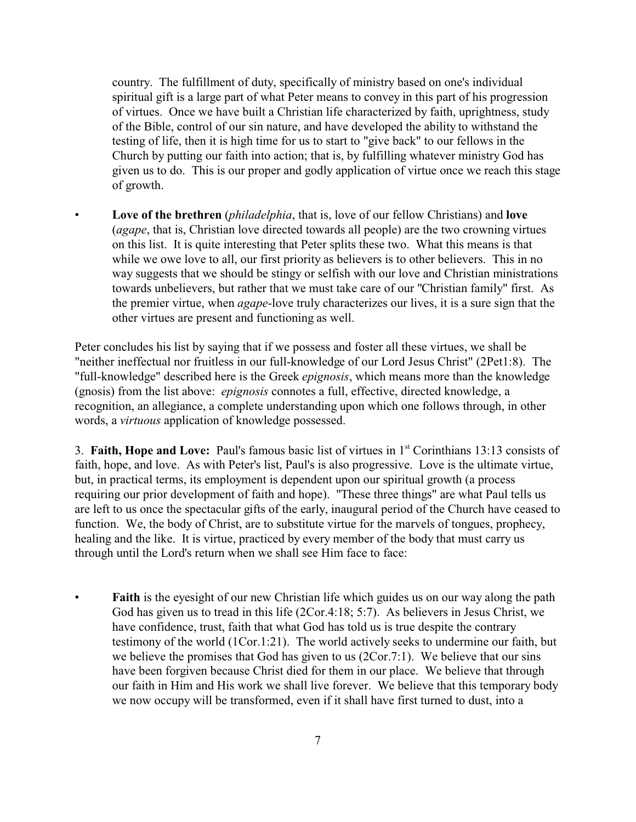country. The fulfillment of duty, specifically of ministry based on one's individual spiritual gift is a large part of what Peter means to convey in this part of his progression of virtues. Once we have built a Christian life characterized by faith, uprightness, study of the Bible, control of our sin nature, and have developed the ability to withstand the testing of life, then it is high time for us to start to "give back" to our fellows in the Church by putting our faith into action; that is, by fulfilling whatever ministry God has given us to do. This is our proper and godly application of virtue once we reach this stage of growth.

• **Love of the brethren** (*philadelphia*, that is, love of our fellow Christians) and **love** (*agape*, that is, Christian love directed towards all people) are the two crowning virtues on this list. It is quite interesting that Peter splits these two. What this means is that while we owe love to all, our first priority as believers is to other believers. This in no way suggests that we should be stingy or selfish with our love and Christian ministrations towards unbelievers, but rather that we must take care of our "Christian family" first. As the premier virtue, when *agape*-love truly characterizes our lives, it is a sure sign that the other virtues are present and functioning as well.

Peter concludes his list by saying that if we possess and foster all these virtues, we shall be "neither ineffectual nor fruitless in our full-knowledge of our Lord Jesus Christ" (2Pet1:8). The "full-knowledge" described here is the Greek *epignosis*, which means more than the knowledge (gnosis) from the list above: *epignosis* connotes a full, effective, directed knowledge, a recognition, an allegiance, a complete understanding upon which one follows through, in other words, a *virtuous* application of knowledge possessed.

3. **Faith, Hope and Love:** Paul's famous basic list of virtues in 1st Corinthians 13:13 consists of faith, hope, and love. As with Peter's list, Paul's is also progressive. Love is the ultimate virtue, but, in practical terms, its employment is dependent upon our spiritual growth (a process requiring our prior development of faith and hope). "These three things" are what Paul tells us are left to us once the spectacular gifts of the early, inaugural period of the Church have ceased to function. We, the body of Christ, are to substitute virtue for the marvels of tongues, prophecy, healing and the like. It is virtue, practiced by every member of the body that must carry us through until the Lord's return when we shall see Him face to face:

**Faith** is the eyesight of our new Christian life which guides us on our way along the path God has given us to tread in this life (2Cor.4:18; 5:7). As believers in Jesus Christ, we have confidence, trust, faith that what God has told us is true despite the contrary testimony of the world (1Cor.1:21). The world actively seeks to undermine our faith, but we believe the promises that God has given to us (2Cor.7:1). We believe that our sins have been forgiven because Christ died for them in our place. We believe that through our faith in Him and His work we shall live forever. We believe that this temporary body we now occupy will be transformed, even if it shall have first turned to dust, into a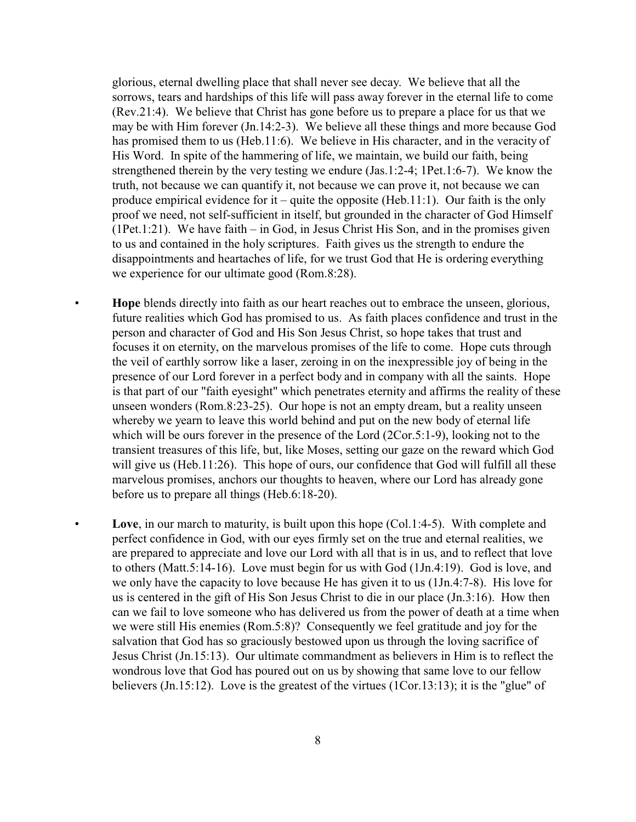glorious, eternal dwelling place that shall never see decay. We believe that all the sorrows, tears and hardships of this life will pass away forever in the eternal life to come (Rev.21:4). We believe that Christ has gone before us to prepare a place for us that we may be with Him forever (Jn.14:2-3). We believe all these things and more because God has promised them to us (Heb.11:6). We believe in His character, and in the veracity of His Word. In spite of the hammering of life, we maintain, we build our faith, being strengthened therein by the very testing we endure (Jas.1:2-4; 1Pet.1:6-7). We know the truth, not because we can quantify it, not because we can prove it, not because we can produce empirical evidence for it – quite the opposite (Heb.11:1). Our faith is the only proof we need, not self-sufficient in itself, but grounded in the character of God Himself (1Pet.1:21). We have faith – in God, in Jesus Christ His Son, and in the promises given to us and contained in the holy scriptures. Faith gives us the strength to endure the disappointments and heartaches of life, for we trust God that He is ordering everything we experience for our ultimate good (Rom.8:28).

- **Hope** blends directly into faith as our heart reaches out to embrace the unseen, glorious, future realities which God has promised to us. As faith places confidence and trust in the person and character of God and His Son Jesus Christ, so hope takes that trust and focuses it on eternity, on the marvelous promises of the life to come. Hope cuts through the veil of earthly sorrow like a laser, zeroing in on the inexpressible joy of being in the presence of our Lord forever in a perfect body and in company with all the saints. Hope is that part of our "faith eyesight" which penetrates eternity and affirms the reality of these unseen wonders (Rom.8:23-25). Our hope is not an empty dream, but a reality unseen whereby we yearn to leave this world behind and put on the new body of eternal life which will be ours forever in the presence of the Lord (2Cor.5:1-9), looking not to the transient treasures of this life, but, like Moses, setting our gaze on the reward which God will give us (Heb.11:26). This hope of ours, our confidence that God will fulfill all these marvelous promises, anchors our thoughts to heaven, where our Lord has already gone before us to prepare all things (Heb.6:18-20).
- **Love**, in our march to maturity, is built upon this hope (Col.1:4-5). With complete and perfect confidence in God, with our eyes firmly set on the true and eternal realities, we are prepared to appreciate and love our Lord with all that is in us, and to reflect that love to others (Matt.5:14-16). Love must begin for us with God (1Jn.4:19). God is love, and we only have the capacity to love because He has given it to us (1Jn.4:7-8). His love for us is centered in the gift of His Son Jesus Christ to die in our place (Jn.3:16). How then can we fail to love someone who has delivered us from the power of death at a time when we were still His enemies (Rom.5:8)? Consequently we feel gratitude and joy for the salvation that God has so graciously bestowed upon us through the loving sacrifice of Jesus Christ (Jn.15:13). Our ultimate commandment as believers in Him is to reflect the wondrous love that God has poured out on us by showing that same love to our fellow believers (Jn.15:12). Love is the greatest of the virtues (1Cor.13:13); it is the "glue" of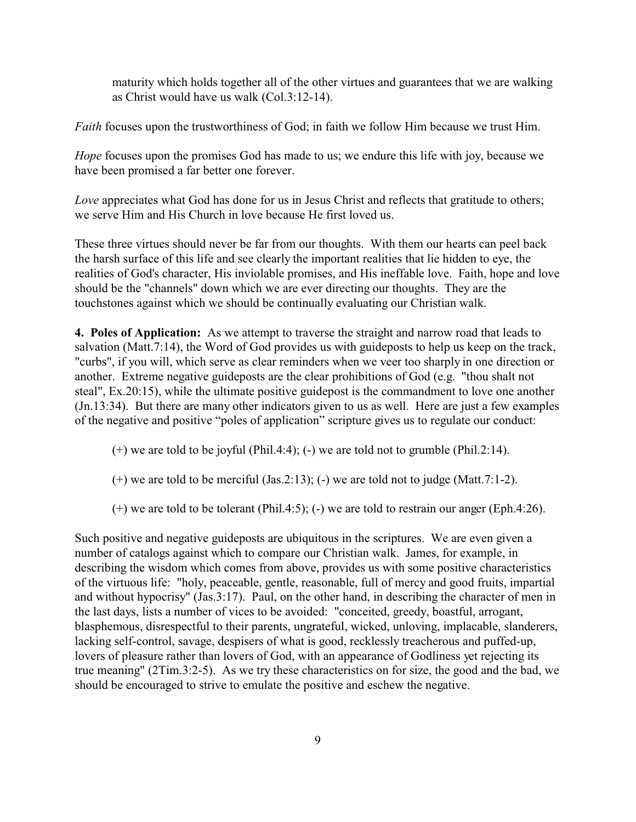maturity which holds together all of the other virtues and guarantees that we are walking as Christ would have us walk (Col.3:12-14).

*Faith* focuses upon the trustworthiness of God; in faith we follow Him because we trust Him.

*Hope* focuses upon the promises God has made to us; we endure this life with joy, because we have been promised a far better one forever.

*Love* appreciates what God has done for us in Jesus Christ and reflects that gratitude to others; we serve Him and His Church in love because He first loved us.

These three virtues should never be far from our thoughts. With them our hearts can peel back the harsh surface of this life and see clearly the important realities that lie hidden to eye, the realities of God's character, His inviolable promises, and His ineffable love. Faith, hope and love should be the "channels" down which we are ever directing our thoughts. They are the touchstones against which we should be continually evaluating our Christian walk.

**4. Poles of Application:** As we attempt to traverse the straight and narrow road that leads to salvation (Matt.7:14), the Word of God provides us with guideposts to help us keep on the track, "curbs", if you will, which serve as clear reminders when we veer too sharply in one direction or another. Extreme negative guideposts are the clear prohibitions of God (e.g. "thou shalt not steal", Ex.20:15), while the ultimate positive guidepost is the commandment to love one another (Jn.13:34). But there are many other indicators given to us as well. Here are just a few examples of the negative and positive "poles of application" scripture gives us to regulate our conduct:

- $(+)$  we are told to be joyful (Phil.4:4); (-) we are told not to grumble (Phil.2:14).
- $(+)$  we are told to be merciful (Jas.2:13); (-) we are told not to judge (Matt.7:1-2).
- $(+)$  we are told to be tolerant (Phil.4:5); (-) we are told to restrain our anger (Eph.4:26).

Such positive and negative guideposts are ubiquitous in the scriptures. We are even given a number of catalogs against which to compare our Christian walk. James, for example, in describing the wisdom which comes from above, provides us with some positive characteristics of the virtuous life: "holy, peaceable, gentle, reasonable, full of mercy and good fruits, impartial and without hypocrisy" (Jas.3:17). Paul, on the other hand, in describing the character of men in the last days, lists a number of vices to be avoided: "conceited, greedy, boastful, arrogant, blasphemous, disrespectful to their parents, ungrateful, wicked, unloving, implacable, slanderers, lacking self-control, savage, despisers of what is good, recklessly treacherous and puffed-up, lovers of pleasure rather than lovers of God, with an appearance of Godliness yet rejecting its true meaning" (2Tim.3:2-5). As we try these characteristics on for size, the good and the bad, we should be encouraged to strive to emulate the positive and eschew the negative.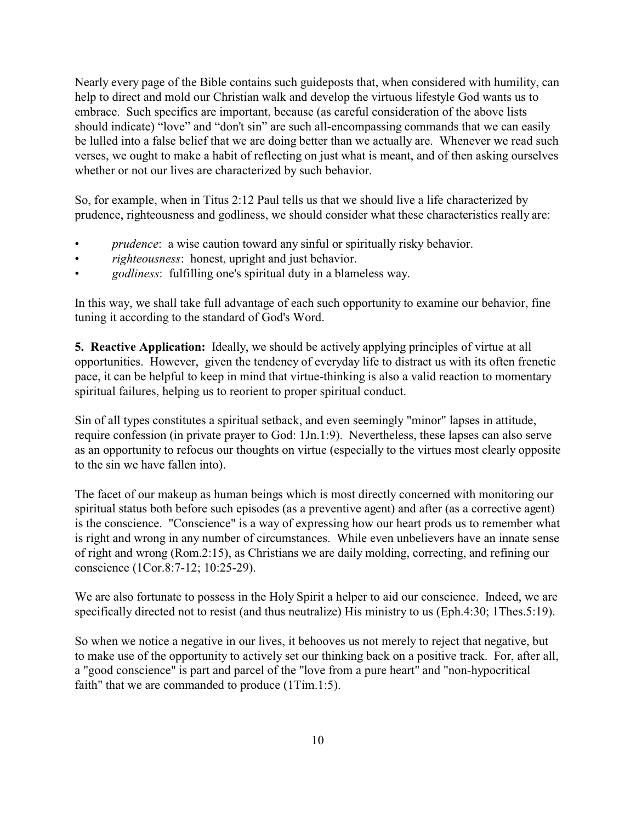Nearly every page of the Bible contains such guideposts that, when considered with humility, can help to direct and mold our Christian walk and develop the virtuous lifestyle God wants us to embrace. Such specifics are important, because (as careful consideration of the above lists should indicate) "love" and "don't sin" are such all-encompassing commands that we can easily be lulled into a false belief that we are doing better than we actually are. Whenever we read such verses, we ought to make a habit of reflecting on just what is meant, and of then asking ourselves whether or not our lives are characterized by such behavior.

So, for example, when in Titus 2:12 Paul tells us that we should live a life characterized by prudence, righteousness and godliness, we should consider what these characteristics really are:

- *prudence*: a wise caution toward any sinful or spiritually risky behavior.
- *righteousness*: honest, upright and just behavior.
- *godliness*: fulfilling one's spiritual duty in a blameless way.

In this way, we shall take full advantage of each such opportunity to examine our behavior, fine tuning it according to the standard of God's Word.

**5. Reactive Application:** Ideally, we should be actively applying principles of virtue at all opportunities. However, given the tendency of everyday life to distract us with its often frenetic pace, it can be helpful to keep in mind that virtue-thinking is also a valid reaction to momentary spiritual failures, helping us to reorient to proper spiritual conduct.

Sin of all types constitutes a spiritual setback, and even seemingly "minor" lapses in attitude, require confession (in private prayer to God: 1Jn.1:9). Nevertheless, these lapses can also serve as an opportunity to refocus our thoughts on virtue (especially to the virtues most clearly opposite to the sin we have fallen into).

The facet of our makeup as human beings which is most directly concerned with monitoring our spiritual status both before such episodes (as a preventive agent) and after (as a corrective agent) is the conscience. "Conscience" is a way of expressing how our heart prods us to remember what is right and wrong in any number of circumstances. While even unbelievers have an innate sense of right and wrong (Rom.2:15), as Christians we are daily molding, correcting, and refining our conscience (1Cor.8:7-12; 10:25-29).

We are also fortunate to possess in the Holy Spirit a helper to aid our conscience. Indeed, we are specifically directed not to resist (and thus neutralize) His ministry to us (Eph.4:30; 1Thes.5:19).

So when we notice a negative in our lives, it behooves us not merely to reject that negative, but to make use of the opportunity to actively set our thinking back on a positive track. For, after all, a "good conscience" is part and parcel of the "love from a pure heart" and "non-hypocritical faith" that we are commanded to produce (1Tim.1:5).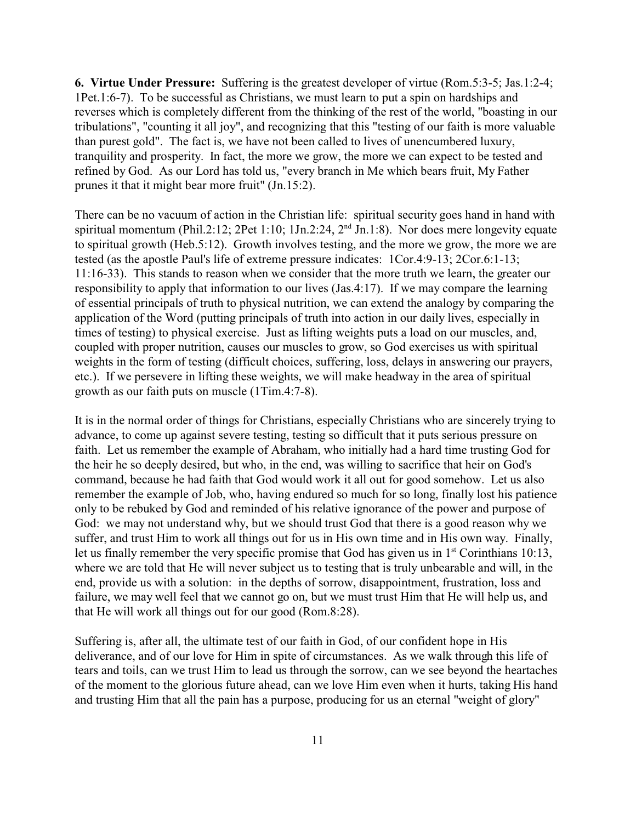**6. Virtue Under Pressure:** Suffering is the greatest developer of virtue (Rom.5:3-5; Jas.1:2-4; 1Pet.1:6-7). To be successful as Christians, we must learn to put a spin on hardships and reverses which is completely different from the thinking of the rest of the world, "boasting in our tribulations", "counting it all joy", and recognizing that this "testing of our faith is more valuable than purest gold". The fact is, we have not been called to lives of unencumbered luxury, tranquility and prosperity. In fact, the more we grow, the more we can expect to be tested and refined by God. As our Lord has told us, "every branch in Me which bears fruit, My Father prunes it that it might bear more fruit" (Jn.15:2).

There can be no vacuum of action in the Christian life: spiritual security goes hand in hand with spiritual momentum (Phil.2:12; 2Pet 1:10; 1Jn.2:24, 2<sup>nd</sup> Jn.1:8). Nor does mere longevity equate to spiritual growth (Heb.5:12). Growth involves testing, and the more we grow, the more we are tested (as the apostle Paul's life of extreme pressure indicates: 1Cor.4:9-13; 2Cor.6:1-13; 11:16-33). This stands to reason when we consider that the more truth we learn, the greater our responsibility to apply that information to our lives (Jas.4:17). If we may compare the learning of essential principals of truth to physical nutrition, we can extend the analogy by comparing the application of the Word (putting principals of truth into action in our daily lives, especially in times of testing) to physical exercise. Just as lifting weights puts a load on our muscles, and, coupled with proper nutrition, causes our muscles to grow, so God exercises us with spiritual weights in the form of testing (difficult choices, suffering, loss, delays in answering our prayers, etc.). If we persevere in lifting these weights, we will make headway in the area of spiritual growth as our faith puts on muscle (1Tim.4:7-8).

It is in the normal order of things for Christians, especially Christians who are sincerely trying to advance, to come up against severe testing, testing so difficult that it puts serious pressure on faith. Let us remember the example of Abraham, who initially had a hard time trusting God for the heir he so deeply desired, but who, in the end, was willing to sacrifice that heir on God's command, because he had faith that God would work it all out for good somehow. Let us also remember the example of Job, who, having endured so much for so long, finally lost his patience only to be rebuked by God and reminded of his relative ignorance of the power and purpose of God: we may not understand why, but we should trust God that there is a good reason why we suffer, and trust Him to work all things out for us in His own time and in His own way. Finally, let us finally remember the very specific promise that God has given us in 1<sup>st</sup> Corinthians 10:13, where we are told that He will never subject us to testing that is truly unbearable and will, in the end, provide us with a solution: in the depths of sorrow, disappointment, frustration, loss and failure, we may well feel that we cannot go on, but we must trust Him that He will help us, and that He will work all things out for our good (Rom.8:28).

Suffering is, after all, the ultimate test of our faith in God, of our confident hope in His deliverance, and of our love for Him in spite of circumstances. As we walk through this life of tears and toils, can we trust Him to lead us through the sorrow, can we see beyond the heartaches of the moment to the glorious future ahead, can we love Him even when it hurts, taking His hand and trusting Him that all the pain has a purpose, producing for us an eternal "weight of glory"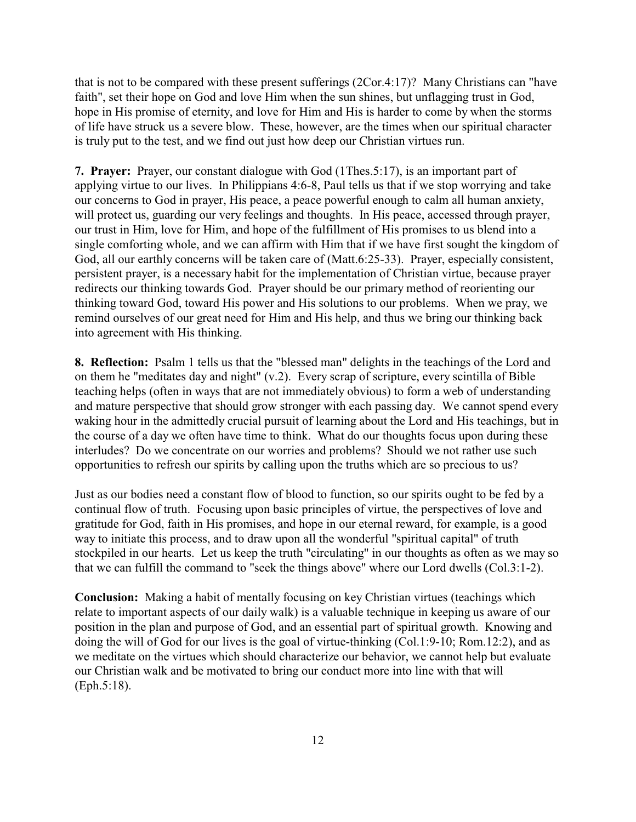that is not to be compared with these present sufferings (2Cor.4:17)? Many Christians can "have faith", set their hope on God and love Him when the sun shines, but unflagging trust in God, hope in His promise of eternity, and love for Him and His is harder to come by when the storms of life have struck us a severe blow. These, however, are the times when our spiritual character is truly put to the test, and we find out just how deep our Christian virtues run.

**7. Prayer:** Prayer, our constant dialogue with God (1Thes.5:17), is an important part of applying virtue to our lives. In Philippians 4:6-8, Paul tells us that if we stop worrying and take our concerns to God in prayer, His peace, a peace powerful enough to calm all human anxiety, will protect us, guarding our very feelings and thoughts. In His peace, accessed through prayer, our trust in Him, love for Him, and hope of the fulfillment of His promises to us blend into a single comforting whole, and we can affirm with Him that if we have first sought the kingdom of God, all our earthly concerns will be taken care of (Matt.6:25-33). Prayer, especially consistent, persistent prayer, is a necessary habit for the implementation of Christian virtue, because prayer redirects our thinking towards God. Prayer should be our primary method of reorienting our thinking toward God, toward His power and His solutions to our problems. When we pray, we remind ourselves of our great need for Him and His help, and thus we bring our thinking back into agreement with His thinking.

**8. Reflection:** Psalm 1 tells us that the "blessed man" delights in the teachings of the Lord and on them he "meditates day and night" (v.2). Every scrap of scripture, every scintilla of Bible teaching helps (often in ways that are not immediately obvious) to form a web of understanding and mature perspective that should grow stronger with each passing day. We cannot spend every waking hour in the admittedly crucial pursuit of learning about the Lord and His teachings, but in the course of a day we often have time to think. What do our thoughts focus upon during these interludes? Do we concentrate on our worries and problems? Should we not rather use such opportunities to refresh our spirits by calling upon the truths which are so precious to us?

Just as our bodies need a constant flow of blood to function, so our spirits ought to be fed by a continual flow of truth. Focusing upon basic principles of virtue, the perspectives of love and gratitude for God, faith in His promises, and hope in our eternal reward, for example, is a good way to initiate this process, and to draw upon all the wonderful "spiritual capital" of truth stockpiled in our hearts. Let us keep the truth "circulating" in our thoughts as often as we may so that we can fulfill the command to "seek the things above" where our Lord dwells (Col.3:1-2).

**Conclusion:** Making a habit of mentally focusing on key Christian virtues (teachings which relate to important aspects of our daily walk) is a valuable technique in keeping us aware of our position in the plan and purpose of God, and an essential part of spiritual growth. Knowing and doing the will of God for our lives is the goal of virtue-thinking (Col.1:9-10; Rom.12:2), and as we meditate on the virtues which should characterize our behavior, we cannot help but evaluate our Christian walk and be motivated to bring our conduct more into line with that will (Eph.5:18).